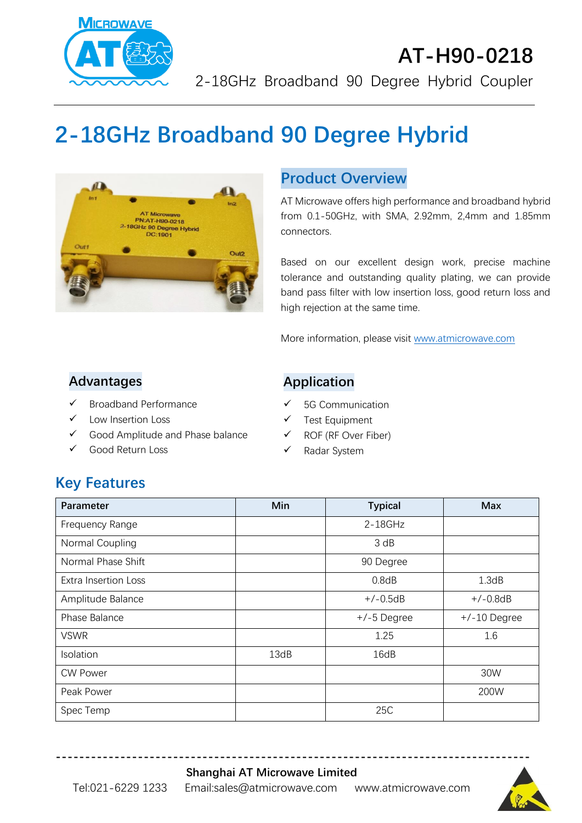

# **AT-H90-0218** 2-18GHz Broadband 90 Degree Hybrid Coupler

# **2-18GHz Broadband 90 Degree Hybrid**



#### **Product Overview**

AT Microwave offers high performance and broadband hybrid from 0.1-50GHz, with SMA, 2.92mm, 2,4mm and 1.85mm connectors.

Based on our excellent design work, precise machine tolerance and outstanding quality plating, we can provide band pass filter with low insertion loss, good return loss and high rejection at the same time.

More information, please visit [www.atmicrowave.com](http://www.atmicrowave.com/)

#### **Advantages**

- ✓ Broadband Performance
- ✓ Low Insertion Loss
- ✓ Good Amplitude and Phase balance
- ✓ Good Return Loss

#### **Application**

- ✓ 5G Communication
- ✓ Test Equipment
- ✓ ROF (RF Over Fiber)
- ✓ Radar System

# **Key Features**

| Parameter                   | Min  | <b>Typical</b> | <b>Max</b>     |
|-----------------------------|------|----------------|----------------|
| Frequency Range             |      | $2 - 18$ GHz   |                |
| Normal Coupling             |      | 3 dB           |                |
| Normal Phase Shift          |      | 90 Degree      |                |
| <b>Extra Insertion Loss</b> |      | 0.8dB          | 1.3dB          |
| Amplitude Balance           |      | $+/-0.5dB$     | $+/-0.8dB$     |
| Phase Balance               |      | $+/-5$ Degree  | $+/-10$ Degree |
| <b>VSWR</b>                 |      | 1.25           | 1.6            |
| Isolation                   | 13dB | 16dB           |                |
| <b>CW Power</b>             |      |                | 30W            |
| Peak Power                  |      |                | 200W           |
| Spec Temp                   |      | 25C            |                |

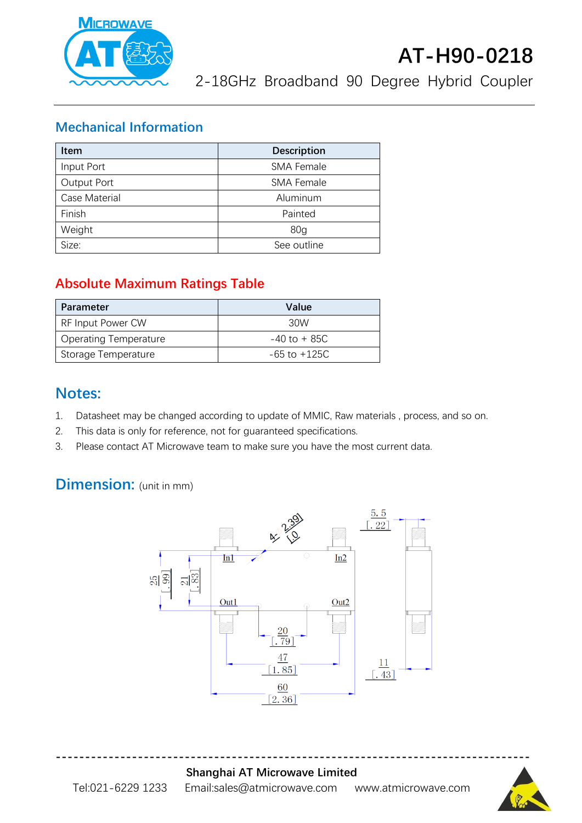

2-18GHz Broadband 90 Degree Hybrid Coupler

#### **Mechanical Information**

| <b>Item</b>        | <b>Description</b> |  |
|--------------------|--------------------|--|
| Input Port         | <b>SMA Female</b>  |  |
| <b>Output Port</b> | <b>SMA Female</b>  |  |
| Case Material      | Aluminum           |  |
| Finish             | Painted            |  |
| Weight             | 80 <sub>q</sub>    |  |
| Size:              | See outline        |  |

## **Absolute Maximum Ratings Table**

| Parameter                    | Value            |
|------------------------------|------------------|
| RF Input Power CW            | 30W              |
| <b>Operating Temperature</b> | $-40$ to $+85C$  |
| Storage Temperature          | $-65$ to $+125C$ |

## **Notes:**

- 1. Datasheet may be changed according to update of MMIC, Raw materials , process, and so on.
- 2. This data is only for reference, not for guaranteed specifications.
- 3. Please contact AT Microwave team to make sure you have the most current data.

# **Dimension:** (unit in mm)